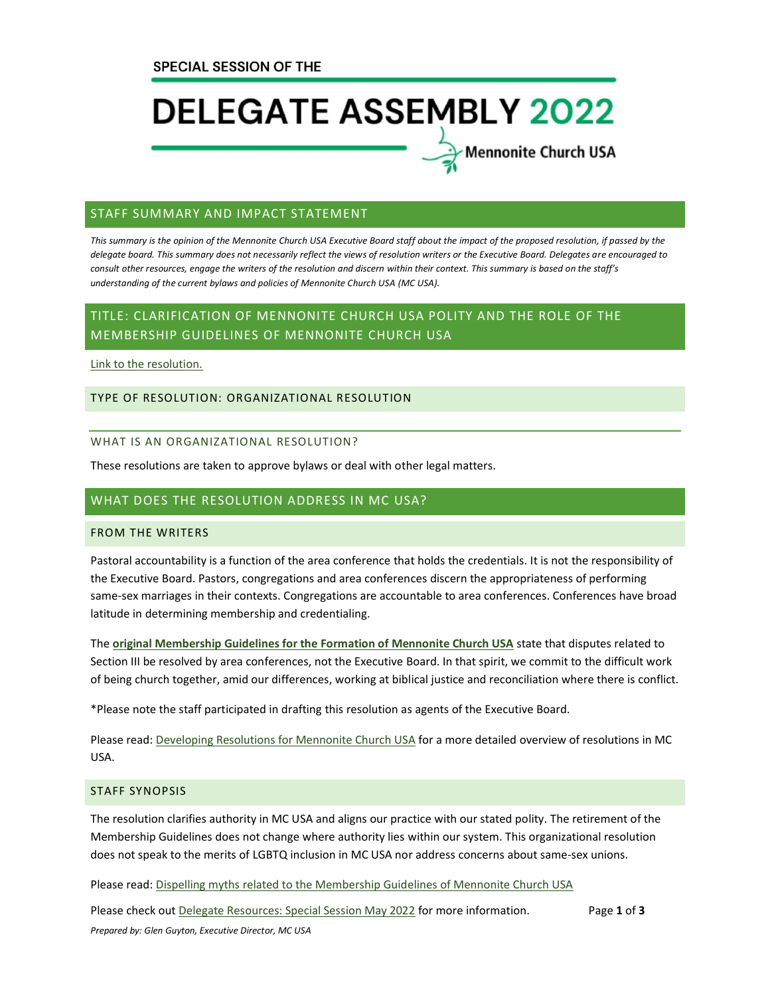# **DELEGATE ASSEMBLY 2022**

Mennonite Church USA

### STAFF SUMMARY AND IMPACT STATEMENT

*This summary is the opinion of the Mennonite Church USA Executive Board staff about the impact of the proposed resolution, if passed by the delegate board. This summary does not necessarily reflect the views of resolution writers or the Executive Board. Delegates are encouraged to consult other resources, engage the writers of the resolution and discern within their context. This summary is based on the staff's understanding of the current bylaws and policies of Mennonite Church USA (MC USA).*

# TITLE: CLARIFICATION OF MENNONITE CHURCH USA POLITY AND THE ROLE OF THE MEMBERSHIP GUIDELINES OF MENNONITE CHURCH USA

[Link to the resolution.](https://www.mennoniteusa.org/wp-content/uploads/2021/04/EB-Resolution-Membership-Guidelines-2021-Approved-by-EB-April-2021.pdf)

### TYPE OF RESOLUTION: ORGANIZATIONAL RESOLUTION

#### WHAT IS AN ORGANIZATIONAL RESOLUTION?

These resolutions are taken to approve bylaws or deal with other legal matters.

## WHAT DOES THE RESOLUTION ADDRESS IN MC USA?

### FROM THE WRITERS

Pastoral accountability is a function of the area conference that holds the credentials. It is not the responsibility of the Executive Board. Pastors, congregations and area conferences discern the appropriateness of performing same-sex marriages in their contexts. Congregations are accountable to area conferences. Conferences have broad latitude in determining membership and credentialing.

The **[original Membership Guidelines for the Formation of Mennonite Church USA](https://www.mennoniteusa.org/resource-portal/resource/membership-guidelines-for-the-formation-of-mennonite-church-usa-2001/)** state that disputes related to Section III be resolved by area conferences, not the Executive Board. In that spirit, we commit to the difficult work of being church together, amid our differences, working at biblical justice and reconciliation where there is conflict.

\*Please note the staff participated in drafting this resolution as agents of the Executive Board.

Please read: [Developing Resolutions for Mennonite Church USA](https://www.mennoniteusa.org/wp-content/uploads/2020/06/Developing-Resolutions-for-MC-USA-Approved-January-2020.pdf) for a more detailed overview of resolutions in MC USA.

#### STAFF SYNOPSIS

The resolution clarifies authority in MC USA and aligns our practice with our stated polity. The retirement of the Membership Guidelines does not change where authority lies within our system. This organizational resolution does not speak to the merits of LGBTQ inclusion in MC USA nor address concerns about same-sex unions.

Please read: [Dispelling myths related to the Membership Guidelines of Mennonite Church USA](https://www.mennoniteusa.org/menno-snapshots/dispelling-myths-membership-guidelines/)

Please check out [Delegate Resources: Special Session May 2022](https://www.mennoniteusa.org/resource-portal/resource/delegate-resources-special-session-may-2022/) for more information. Page **1** of **3** *Prepared by: Glen Guyton, Executive Director, MC USA*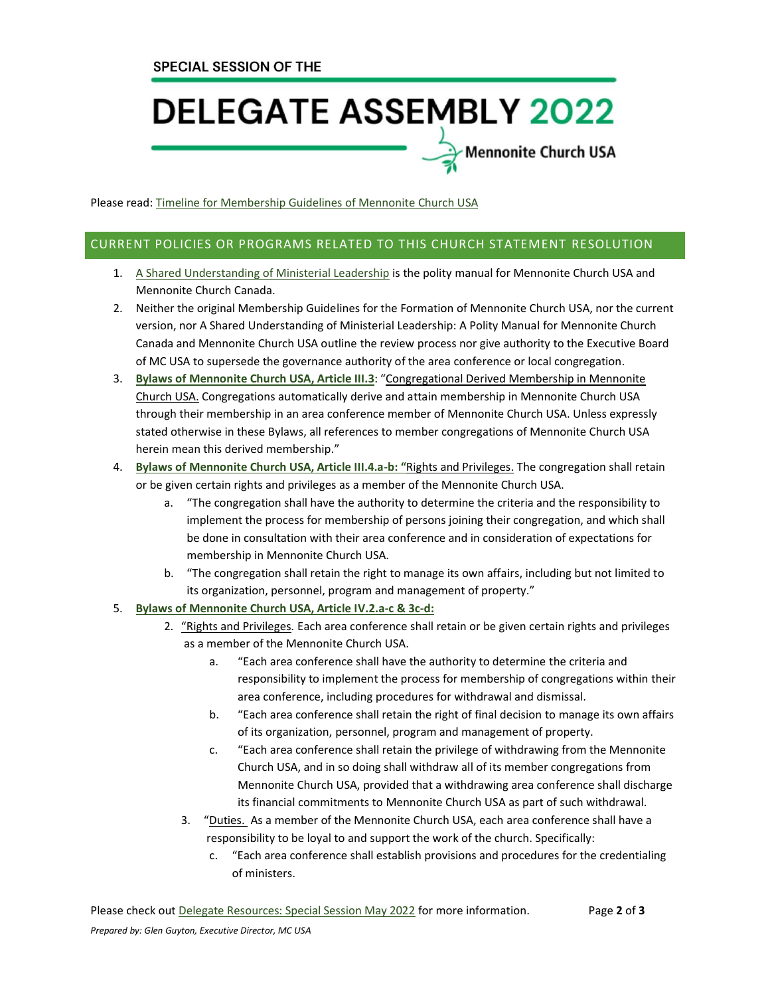# **DELEGATE ASSEMBLY 2022**

Mennonite Church USA

Please read: Timeline for [Membership](https://www.mennoniteusa.org/wp-content/uploads/2022/02/MG-Timeline.pdf) Guidelines of Mennonite Church USA

### CURRENT POLICIES OR PROGRAMS RELATED TO THIS CHURCH STATEMENT RESOLUTION

- 1. [A Shared Understanding of Ministerial Leadership](https://www.mennomedia.org/9781513801629/a-shared-understanding-of-ministerial-leadership/) is the polity manual for Mennonite Church USA and Mennonite Church Canada.
- 2. Neither the original Membership Guidelines for the Formation of Mennonite Church USA, nor the current version, nor A Shared Understanding of Ministerial Leadership: A Polity Manual for Mennonite Church Canada and Mennonite Church USA outline the review process nor give authority to the Executive Board of MC USA to supersede the governance authority of the area conference or local congregation.
- 3. **[Bylaws of Mennonite Church USA, Article III.3](https://www.mennoniteusa.org/wp-content/uploads/2020/08/Bylaws-Approved-2021-Delegate-Assembly-July-10.pdf)**: "Congregational Derived Membership in Mennonite Church USA. Congregations automatically derive and attain membership in Mennonite Church USA through their membership in an area conference member of Mennonite Church USA. Unless expressly stated otherwise in these Bylaws, all references to member congregations of Mennonite Church USA herein mean this derived membership."
- 4. **[Bylaws of Mennonite Church USA, Article III.4.a-b:](https://www.mennoniteusa.org/wp-content/uploads/2020/08/Bylaws-Approved-2021-Delegate-Assembly-July-10.pdf) "**Rights and Privileges. The congregation shall retain or be given certain rights and privileges as a member of the Mennonite Church USA.
	- a. "The congregation shall have the authority to determine the criteria and the responsibility to implement the process for membership of persons joining their congregation, and which shall be done in consultation with their area conference and in consideration of expectations for membership in Mennonite Church USA.
	- b. "The congregation shall retain the right to manage its own affairs, including but not limited to its organization, personnel, program and management of property."

### 5. **[Bylaws of Mennonite Church USA, Article IV.2.a-c](https://www.mennoniteusa.org/wp-content/uploads/2020/08/Bylaws-Approved-2021-Delegate-Assembly-July-10.pdf) & 3c-d:**

- 2. "Rights and Privileges*.* Each area conference shall retain or be given certain rights and privileges as a member of the Mennonite Church USA.
	- a. "Each area conference shall have the authority to determine the criteria and responsibility to implement the process for membership of congregations within their area conference, including procedures for withdrawal and dismissal.
	- b. "Each area conference shall retain the right of final decision to manage its own affairs of its organization, personnel, program and management of property.
	- c. "Each area conference shall retain the privilege of withdrawing from the Mennonite Church USA, and in so doing shall withdraw all of its member congregations from Mennonite Church USA, provided that a withdrawing area conference shall discharge its financial commitments to Mennonite Church USA as part of such withdrawal.
	- 3. "Duties. As a member of the Mennonite Church USA, each area conference shall have a responsibility to be loyal to and support the work of the church. Specifically:
		- c. "Each area conference shall establish provisions and procedures for the credentialing of ministers.